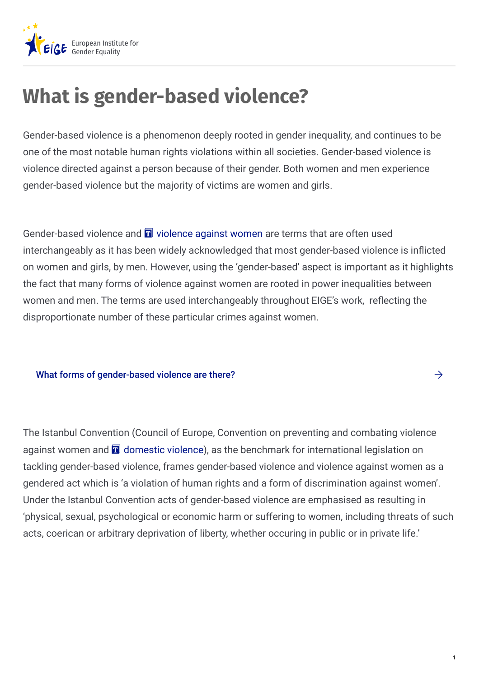

## **What is gender-based violence?**

Gender-based violence is a phenomenon deeply rooted in gender inequality, and continues to be one of the most notable human rights violations within all societies. Gender-based violence is violence directed against a person because of their gender. Both women and men experience gender-based violence but the majority of victims are women and girls.

Gender-based [violence](https://eige.europa.eu/term/1426/nojs) and  $\blacksquare$  violence against women are terms that are often used interchangeably as it has been widely acknowledged that most gender-based violence is inflicted on women and girls, by men. However, using the 'gender-based' aspect is important as it highlights the fact that many forms of violence against women are rooted in power inequalities between women and men. The terms are used interchangeably throughout EIGE's work, reflecting the disproportionate number of these particular crimes against women.

## What forms of [gender-based](https://eige.europa.eu/gender-based-violence/what-gender-based-violence/forms-gender-based-violence) violence are there?  $\rightarrow$

The Istanbul Convention (Council of Europe, Convention on preventing and combating violence against women and  $\blacksquare$  [domestic](https://eige.europa.eu/term/1089/nojs) violence), as the benchmark for international legislation on tackling gender-based violence, frames gender-based violence and violence against women as a gendered act which is 'a violation of human rights and a form of discrimination against women'. Under the Istanbul Convention acts of gender-based violence are emphasised as resulting in 'physical, sexual, psychological or economic harm or suffering to women, including threats of such acts, coerican or arbitrary deprivation of liberty, whether occuring in public or in private life.'